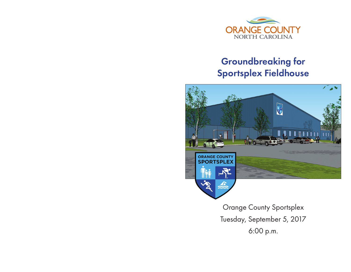

# Groundbreaking for Sportsplex Fieldhouse



Orange County Sportsplex Tuesday, September 5, 2017 6:00 p.m.